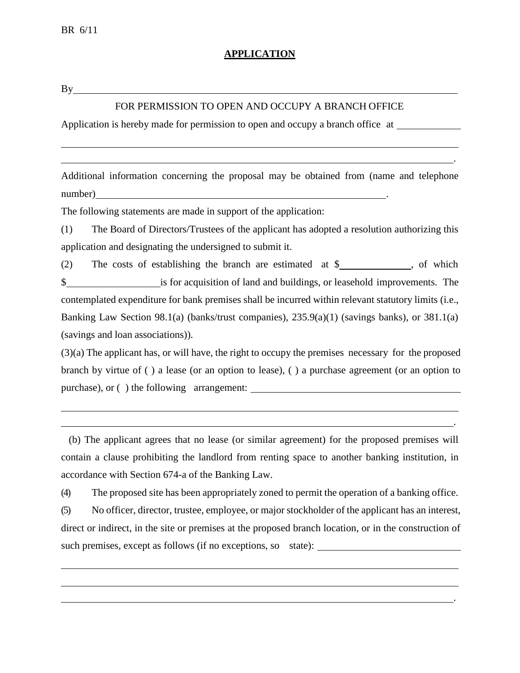## **APPLICATION**

 $By$ <sub>\_\_\_</sub>

#### FOR PERMISSION TO OPEN AND OCCUPY A BRANCH OFFICE

Application is hereby made for permission to open and occupy a branch office at

Additional information concerning the proposal may be obtained from (name and telephone number)

.

.

.

The following statements are made in support of the application:

(1) The Board of Directors/Trustees of the applicant has adopted a resolution authorizing this application and designating the undersigned to submit it.

(2) The costs of establishing the branch are estimated at \$ , of which \$ is for acquisition of land and buildings, or leasehold improvements. The contemplated expenditure for bank premises shall be incurred within relevant statutory limits (i.e., Banking Law Section 98.1(a) (banks/trust companies), 235.9(a)(1) (savings banks), or 381.1(a) (savings and loan associations)).

(3)(a) The applicant has, or will have, the right to occupy the premises necessary for the proposed branch by virtue of ( ) a lease (or an option to lease), ( ) a purchase agreement (or an option to purchase), or ( ) the following arrangement:

(b) The applicant agrees that no lease (or similar agreement) for the proposed premises will contain a clause prohibiting the landlord from renting space to another banking institution, in accordance with Section 674-a of the Banking Law.

(4) The proposed site has been appropriately zoned to permit the operation of a banking office.

(5) No officer, director, trustee, employee, or major stockholder of the applicant has an interest, direct or indirect, in the site or premises at the proposed branch location, or in the construction of such premises, except as follows (if no exceptions, so state):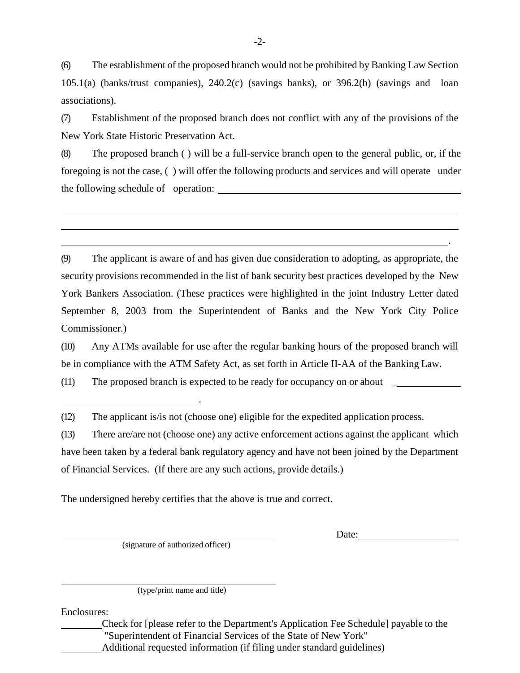(6) The establishment of the proposed branch would not be prohibited by Banking Law Section 105.1(a) (banks/trust companies), 240.2(c) (savings banks), or 396.2(b) (savings and loan associations).

(7) Establishment of the proposed branch does not conflict with any of the provisions of the New York State Historic Preservation Act.

(8) The proposed branch ( ) will be a full-service branch open to the general public, or, if the foregoing is not the case, ( ) will offer the following products and services and will operate under the following schedule of operation:

(9) The applicant is aware of and has given due consideration to adopting, as appropriate, the security provisions recommended in the list of bank security best practices developed by the New York Bankers Association. (These practices were highlighted in the joint Industry Letter dated September 8, 2003 from the Superintendent of Banks and the New York City Police Commissioner.)

(10) Any ATMs available for use after the regular banking hours of the proposed branch will be in compliance with the ATM Safety Act, as set forth in Article II-AA of the Banking Law.

(11) The proposed branch is expected to be ready for occupancy on or about \_

(12) The applicant is/is not (choose one) eligible for the expedited application process.

(13) There are/are not (choose one) any active enforcement actions against the applicant which have been taken by a federal bank regulatory agency and have not been joined by the Department of Financial Services. (If there are any such actions, provide details.)

The undersigned hereby certifies that the above is true and correct.

.

(signature of authorized officer)

Date:

.

(type/print name and title)

Enclosures:

Check for [please refer to the Department's Application Fee Schedule] payable to the "Superintendent of Financial Services of the State of New York" Additional requested information (if filing under standard guidelines)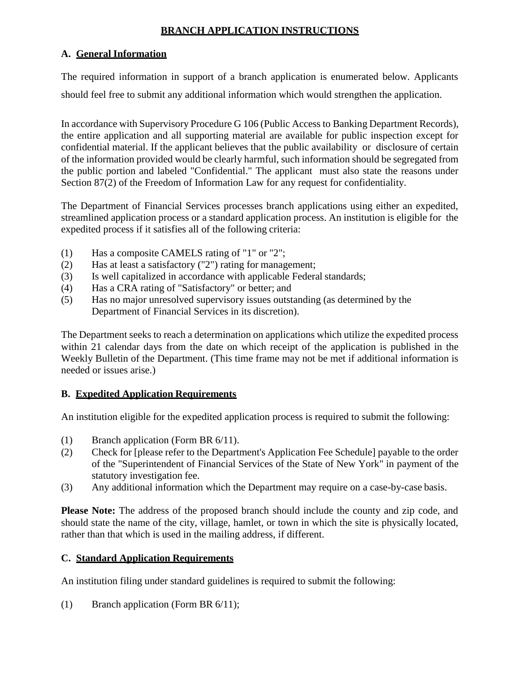# **BRANCH APPLICATION INSTRUCTIONS**

# **A. General Information**

The required information in support of a branch application is enumerated below. Applicants should feel free to submit any additional information which would strengthen the application.

In accordance with Supervisory Procedure G 106 (Public Access to Banking Department Records), the entire application and all supporting material are available for public inspection except for confidential material. If the applicant believes that the public availability or disclosure of certain of the information provided would be clearly harmful, such information should be segregated from the public portion and labeled "Confidential." The applicant must also state the reasons under Section 87(2) of the Freedom of Information Law for any request for confidentiality.

The Department of Financial Services processes branch applications using either an expedited, streamlined application process or a standard application process. An institution is eligible for the expedited process if it satisfies all of the following criteria:

- (1) Has a composite CAMELS rating of "1" or "2";
- (2) Has at least a satisfactory ("2") rating for management;
- (3) Is well capitalized in accordance with applicable Federal standards;
- (4) Has a CRA rating of "Satisfactory" or better; and
- (5) Has no major unresolved supervisory issues outstanding (as determined by the Department of Financial Services in its discretion).

The Department seeks to reach a determination on applications which utilize the expedited process within 21 calendar days from the date on which receipt of the application is published in the Weekly Bulletin of the Department. (This time frame may not be met if additional information is needed or issues arise.)

## **B. Expedited Application Requirements**

An institution eligible for the expedited application process is required to submit the following:

- (1) Branch application (Form BR 6/11).
- (2) Check for [please refer to the Department's Application Fee Schedule] payable to the order of the "Superintendent of Financial Services of the State of New York" in payment of the statutory investigation fee.
- (3) Any additional information which the Department may require on a case-by-case basis.

**Please Note:** The address of the proposed branch should include the county and zip code, and should state the name of the city, village, hamlet, or town in which the site is physically located, rather than that which is used in the mailing address, if different.

## **C. Standard Application Requirements**

An institution filing under standard guidelines is required to submit the following:

(1) Branch application (Form BR 6/11);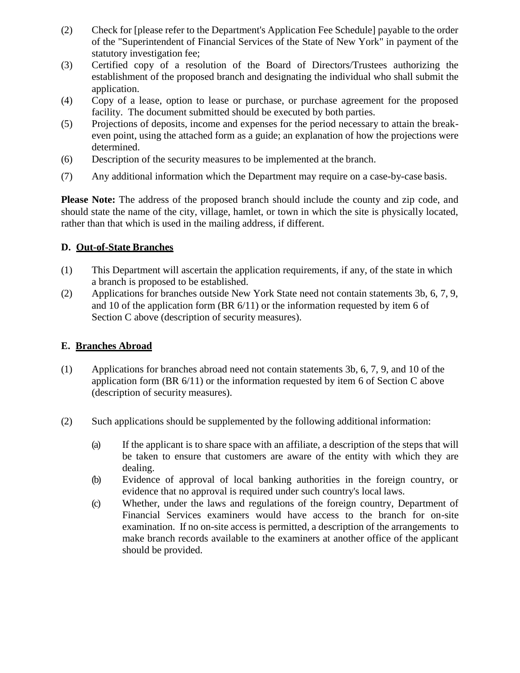- (2) Check for [please refer to the Department's Application Fee Schedule] payable to the order of the "Superintendent of Financial Services of the State of New York" in payment of the statutory investigation fee;
- (3) Certified copy of a resolution of the Board of Directors/Trustees authorizing the establishment of the proposed branch and designating the individual who shall submit the application.
- (4) Copy of a lease, option to lease or purchase, or purchase agreement for the proposed facility. The document submitted should be executed by both parties.
- (5) Projections of deposits, income and expenses for the period necessary to attain the breakeven point, using the attached form as a guide; an explanation of how the projections were determined.
- (6) Description of the security measures to be implemented at the branch.
- (7) Any additional information which the Department may require on a case-by-case basis.

**Please Note:** The address of the proposed branch should include the county and zip code, and should state the name of the city, village, hamlet, or town in which the site is physically located, rather than that which is used in the mailing address, if different.

#### **D. Out-of-State Branches**

- (1) This Department will ascertain the application requirements, if any, of the state in which a branch is proposed to be established.
- (2) Applications for branches outside New York State need not contain statements 3b, 6, 7, 9, and 10 of the application form (BR 6/11) or the information requested by item 6 of Section C above (description of security measures).

#### **E. Branches Abroad**

- (1) Applications for branches abroad need not contain statements 3b, 6, 7, 9, and 10 of the application form (BR 6/11) or the information requested by item 6 of Section C above (description of security measures).
- (2) Such applications should be supplemented by the following additional information:
	- (a) If the applicant is to share space with an affiliate, a description of the steps that will be taken to ensure that customers are aware of the entity with which they are dealing.
	- (b) Evidence of approval of local banking authorities in the foreign country, or evidence that no approval is required under such country's local laws.
	- (c) Whether, under the laws and regulations of the foreign country, Department of Financial Services examiners would have access to the branch for on-site examination. If no on-site access is permitted, a description of the arrangements to make branch records available to the examiners at another office of the applicant should be provided.